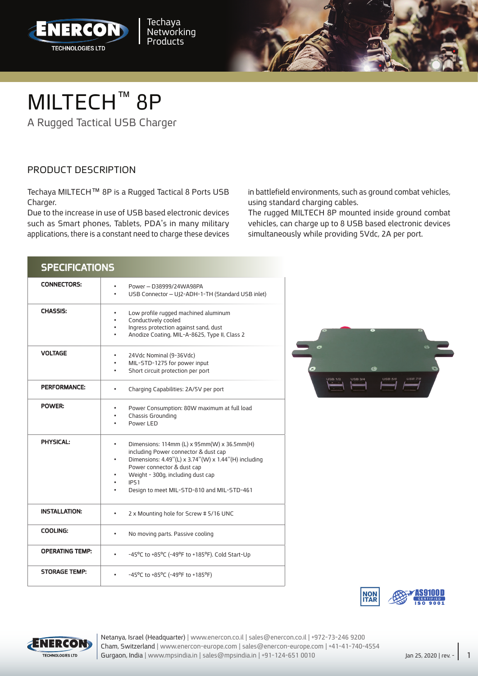



## MILTECH<sup>™</sup> 8P

A Rugged Tactical USB Charger

## PRODUCT DESCRIPTION

Techaya MILTECH™ 8P is a Rugged Tactical 8 Ports USB .Charger

Due to the increase in use of USB based electronic devices such as Smart phones, Tablets, PDA's in many military applications, there is a constant need to charge these devices in battlefield environments, such as ground combat vehicles, using standard charging cables.

The rugged MILTECH 8P mounted inside ground combat vehicles, can charge up to 8 USB based electronic devices simultaneously while providing 5Vdc, 2A per port.

| <b>SPECIFICATIONS</b>  |                                                                                                                                                                                                                                                                                               |
|------------------------|-----------------------------------------------------------------------------------------------------------------------------------------------------------------------------------------------------------------------------------------------------------------------------------------------|
| <b>CONNECTORS:</b>     | Power - D38999/24WA98PA<br>USB Connector - UJ2-ADH-1-TH (Standard USB inlet)                                                                                                                                                                                                                  |
| <b>CHASSIS:</b>        | Low profile rugged machined aluminum<br>Conductively cooled<br>٠<br>Ingress protection against sand, dust<br>$\bullet$<br>Anodize Coating, MIL-A-8625, Type II, Class 2<br>٠                                                                                                                  |
| <b>VOLTAGE</b>         | 24Vdc Nominal (9-36Vdc)<br>٠<br>MIL-STD-1275 for power input<br>٠<br>Short circuit protection per port<br>$\bullet$                                                                                                                                                                           |
| <b>PERFORMANCE:</b>    | Charging Capabilities: 2A/5V per port                                                                                                                                                                                                                                                         |
| POWER:                 | Power Consumption: 80W maximum at full load<br>٠<br>Chassis Grounding<br>$\bullet$<br>Power I FD                                                                                                                                                                                              |
| <b>PHYSICAL:</b>       | Dimensions: 114mm (L) x 95mm(W) x 36.5mm(H)<br>٠<br>including Power connector & dust cap<br>Dimensions: 4.49"(L) x 3.74"(W) x 1.44"(H) including<br>$\bullet$<br>Power connector & dust cap<br>Weight - 300g, including dust cap<br><b>IP51</b><br>Design to meet MIL-STD-810 and MIL-STD-461 |
| <b>INSTALLATION:</b>   | 2 x Mounting hole for Screw # 5/16 UNC                                                                                                                                                                                                                                                        |
| <b>COOLING:</b>        | No moving parts. Passive cooling                                                                                                                                                                                                                                                              |
| <b>OPERATING TEMP:</b> | -45°C to +85°C (-49°F to +185°F). Cold Start-Up                                                                                                                                                                                                                                               |
| <b>STORAGE TEMP:</b>   | -45°C to +85°C (-49°F to +185°F)                                                                                                                                                                                                                                                              |







Cham, Switzerland | www.enercon-europe.com | sales@enercon-europe.com | +41-41-740-4554 Netanya, Israel (Headquarter) | www.enercon.co.il | sales@enercon.co.il | +972-73-246 9200 Gurgaon, India | www.mpsindia.in | sales@mpsindia.in | +91-124-651 0010